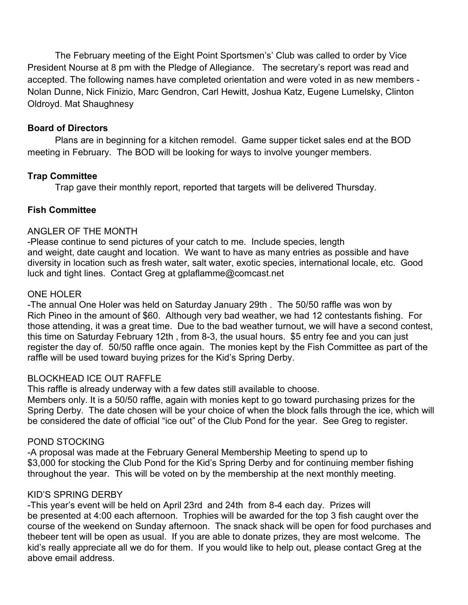The February meeting of the Eight Point Sportsmen's' Club was called to order by Vice President Nourse at 8 pm with the Pledge of Allegiance. The secretary's report was read and accepted. The following names have completed orientation and were voted in as new members - Nolan Dunne, Nick Finizio, Marc Gendron, Carl Hewitt, Joshua Katz, Eugene Lumelsky, Clinton Oldroyd. Mat Shaughnesy

# **Board of Directors**

Plans are in beginning for a kitchen remodel. Game supper ticket sales end at the BOD meeting in February. The BOD will be looking for ways to involve younger members.

## **Trap Committee**

Trap gave their monthly report, reported that targets will be delivered Thursday.

## **Fish Committee**

#### ANGLER OF THE MONTH

-Please continue to send pictures of your catch to me. Include species, length and weight, date caught and location. We want to have as many entries as possible and have diversity in location such as fresh water, salt water, exotic species, international locale, etc. Good luck and tight lines. Contact Greg at gplaflamme@comcast.net

#### ONE HOLER

-The annual One Holer was held on Saturday January 29th . The 50/50 raffle was won by Rich Pineo in the amount of \$60. Although very bad weather, we had 12 contestants fishing. For those attending, it was a great time. Due to the bad weather turnout, we will have a second contest, this time on Saturday February 12th , from 8-3, the usual hours. \$5 entry fee and you can just register the day of. 50/50 raffle once again. The monies kept by the Fish Committee as part of the raffle will be used toward buying prizes for the Kid's Spring Derby.

### BLOCKHEAD ICE OUT RAFFLE

This raffle is already underway with a few dates still available to choose.

Members only. It is a 50/50 raffle, again with monies kept to go toward purchasing prizes for the Spring Derby. The date chosen will be your choice of when the block falls through the ice, which will be considered the date of official "ice out" of the Club Pond for the year. See Greg to register.

### POND STOCKING

-A proposal was made at the February General Membership Meeting to spend up to \$3,000 for stocking the Club Pond for the Kid's Spring Derby and for continuing member fishing throughout the year. This will be voted on by the membership at the next monthly meeting.

#### KID'S SPRING DERBY

-This year's event will be held on April 23rd and 24th from 8-4 each day. Prizes will be presented at 4:00 each afternoon. Trophies will be awarded for the top 3 fish caught over the course of the weekend on Sunday afternoon. The snack shack will be open for food purchases and thebeer tent will be open as usual. If you are able to donate prizes, they are most welcome. The kid's really appreciate all we do for them. If you would like to help out, please contact Greg at the above email address.